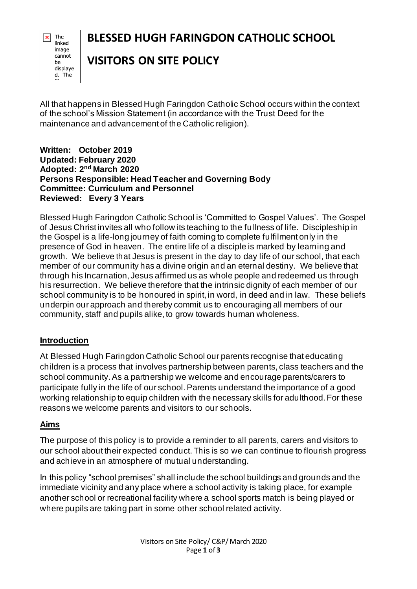## **BLESSED HUGH FARINGDON CATHOLIC SCHOOL**

The × linked image cannot be displaye d. The

## **VISITORS ON SITE POLICY**

All that happens in Blessed Hugh Faringdon Catholic School occurs within the context of the school's Mission Statement (in accordance with the Trust Deed for the maintenance and advancement of the Catholic religion).

**Written: October 2019 Updated: February 2020 Adopted: 2 nd March 2020 Persons Responsible: Head Teacher and Governing Body Committee: Curriculum and Personnel Reviewed: Every 3 Years**

Blessed Hugh Faringdon Catholic School is 'Committed to Gospel Values'. The Gospel of Jesus Christ invites all who follow its teaching to the fullness of life. Discipleship in the Gospel is a life-long journey of faith coming to complete fulfilment only in the presence of God in heaven. The entire life of a disciple is marked by learning and growth. We believe that Jesus is present in the day to day life of our school, that each member of our community has a divine origin and an eternal destiny. We believe that through his Incarnation, Jesus affirmed us as whole people and redeemed us through his resurrection. We believe therefore that the intrinsic dignity of each member of our school community is to be honoured in spirit, in word, in deed and in law. These beliefs underpin our approach and thereby commit us to encouraging all members of our community, staff and pupils alike, to grow towards human wholeness.

## **Introduction**

At Blessed Hugh Faringdon Catholic School our parents recognise that educating children is a process that involves partnership between parents, class teachers and the school community. As a partnership we welcome and encourage parents/carers to participate fully in the life of our school. Parents understand the importance of a good working relationship to equip children with the necessary skills for adulthood. For these reasons we welcome parents and visitors to our schools.

## **Aims**

The purpose of this policy is to provide a reminder to all parents, carers and visitors to our school about their expected conduct. This is so we can continue to flourish progress and achieve in an atmosphere of mutual understanding.

In this policy "school premises" shall include the school buildings and grounds and the immediate vicinity and any place where a school activity is taking place, for example another school or recreational facility where a school sports match is being played or where pupils are taking part in some other school related activity.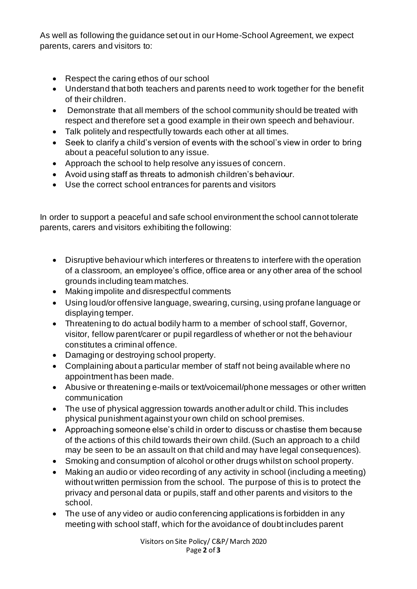As well as following the guidance set out in our Home-School Agreement, we expect parents, carers and visitors to:

- Respect the caring ethos of our school
- Understand that both teachers and parents need to work together for the benefit of their children.
- Demonstrate that all members of the school community should be treated with respect and therefore set a good example in their own speech and behaviour.
- Talk politely and respectfully towards each other at all times.
- Seek to clarify a child's version of events with the school's view in order to bring about a peaceful solution to any issue.
- Approach the school to help resolve any issues of concern.
- Avoid using staff as threats to admonish children's behaviour.
- Use the correct school entrances for parents and visitors

In order to support a peaceful and safe school environment the school cannot tolerate parents, carers and visitors exhibiting the following:

- Disruptive behaviour which interferes or threatens to interfere with the operation of a classroom, an employee's office, office area or any other area of the school grounds including team matches.
- Making impolite and disrespectful comments
- Using loud/or offensive language, swearing, cursing, using profane language or displaying temper.
- Threatening to do actual bodily harm to a member of school staff, Governor, visitor, fellow parent/carer or pupil regardless of whether or not the behaviour constitutes a criminal offence.
- Damaging or destroying school property.
- Complaining about a particular member of staff not being available where no appointment has been made.
- Abusive or threatening e-mails or text/voicemail/phone messages or other written communication
- The use of physical aggression towards another adult or child. This includes physical punishment against your own child on school premises.
- Approaching someone else's child in order to discuss or chastise them because of the actions of this child towards their own child. (Such an approach to a child may be seen to be an assault on that child and may have legal consequences).
- Smoking and consumption of alcohol or other drugs whilst on school property.
- Making an audio or video recording of any activity in school (including a meeting) without written permission from the school. The purpose of this is to protect the privacy and personal data or pupils, staff and other parents and visitors to the school.
- The use of any video or audio conferencing applications is forbidden in any meeting with school staff, which for the avoidance of doubt includes parent